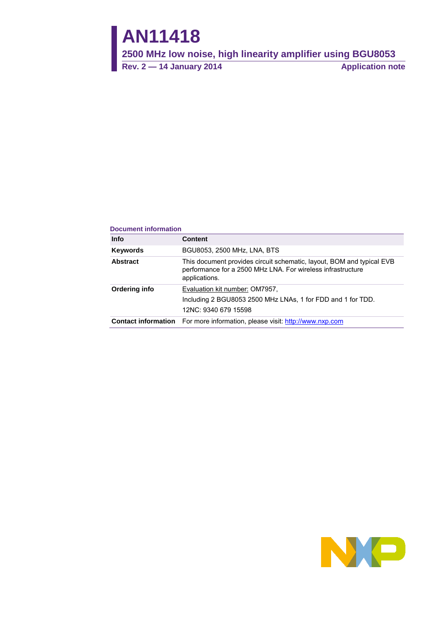# **AN11418**

**2500 MHz low noise, high linearity amplifier using BGU8053**

**Rev. 2 — 14 January 2014 Application note**

#### **Document information**

| <b>Info</b>     | <b>Content</b>                                                                                                                                        |
|-----------------|-------------------------------------------------------------------------------------------------------------------------------------------------------|
| <b>Keywords</b> | BGU8053, 2500 MHz, LNA, BTS                                                                                                                           |
| <b>Abstract</b> | This document provides circuit schematic, layout, BOM and typical EVB<br>performance for a 2500 MHz LNA. For wireless infrastructure<br>applications. |
| Ordering info   | Evaluation kit number: OM7957,<br>Including 2 BGU8053 2500 MHz LNAs, 1 for FDD and 1 for TDD.<br>12NC: 9340 679 15598                                 |
|                 | <b>Contact information</b> For more information, please visit: http://www.nxp.com                                                                     |

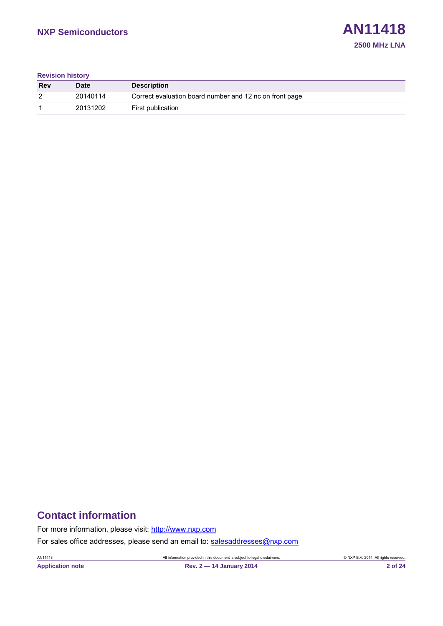#### **Revision history**

| <b>Rev</b> | Date     | <b>Description</b>                                      |
|------------|----------|---------------------------------------------------------|
| 2          | 20140114 | Correct evaluation board number and 12 nc on front page |
|            | 20131202 | First publication                                       |

## **Contact information**

For more information, please visit: [http://www.nxp.com](http://www.nxp.com/)

For sales office addresses, please send an email to: [salesaddresses@nxp.com](mailto:salesaddresses@nxp.com)

**Application note Rev. 2 — 14 January 2014 2 of 24**

AN11418 All information provided in this document is subject to legal disclaimers. © NXP B.V. 2014. All rights reserved.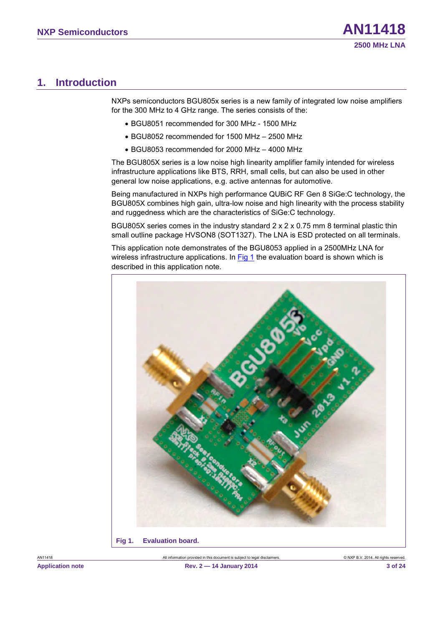## <span id="page-2-2"></span>**1. Introduction**

NXPs semiconductors BGU805x series is a new family of integrated low noise amplifiers for the 300 MHz to 4 GHz range. The series consists of the:

- BGU8051 recommended for 300 MHz 1500 MHz
- BGU8052 recommended for 1500 MHz 2500 MHz
- BGU8053 recommended for 2000 MHz 4000 MHz

The BGU805X series is a low noise high linearity amplifier family intended for wireless infrastructure applications like BTS, RRH, small cells, but can also be used in other general low noise applications, e.g. active antennas for automotive.

Being manufactured in NXPs high performance QUBiC RF Gen 8 SiGe:C technology, the BGU805X combines high gain, ultra-low noise and high linearity with the process stability and ruggedness which are the characteristics of SiGe:C technology.

BGU805X series comes in the industry standard 2 x 2 x 0.75 mm 8 terminal plastic thin small outline package HVSON8 (SOT1327). The LNA is ESD protected on all terminals.

This application note demonstrates of the BGU8053 applied in a 2500MHz LNA for wireless infrastructure applications. In [Fig 1](#page-2-0) the evaluation board is shown which is described in this application note.

<span id="page-2-1"></span><span id="page-2-0"></span>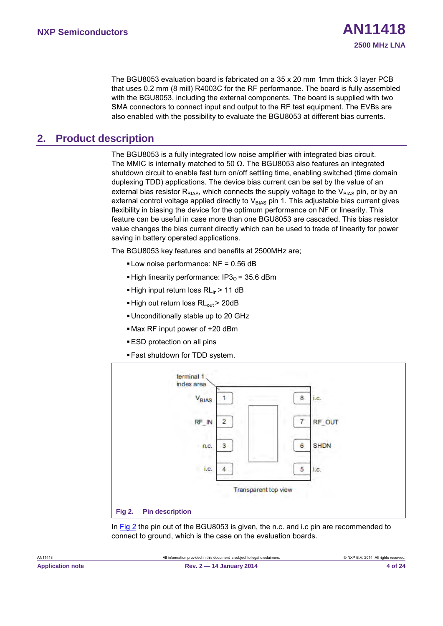The BGU8053 evaluation board is fabricated on a 35 x 20 mm 1mm thick 3 layer PCB that uses 0.2 mm (8 mill) R4003C for the RF performance. The board is fully assembled with the BGU8053, including the external components. The board is supplied with two SMA connectors to connect input and output to the RF test equipment. The EVBs are also enabled with the possibility to evaluate the BGU8053 at different bias currents.

## <span id="page-3-2"></span>**2. Product description**

The BGU8053 is a fully integrated low noise amplifier with integrated bias circuit. The MMIC is internally matched to 50  $\Omega$ . The BGU8053 also features an integrated shutdown circuit to enable fast turn on/off settling time, enabling switched (time domain duplexing TDD) applications. The device bias current can be set by the value of an external bias resistor  $R<sub>BIAS</sub>$ , which connects the supply voltage to the  $V<sub>BIAS</sub>$  pin, or by an external control voltage applied directly to  $V_{BIAS}$  pin 1. This adjustable bias current gives flexibility in biasing the device for the optimum performance on NF or linearity. This feature can be useful in case more than one BGU8053 are cascaded. This bias resistor value changes the bias current directly which can be used to trade of linearity for power saving in battery operated applications.

The BGU8053 key features and benefits at 2500MHz are;

- Low noise performance: NF = 0.56 dB
- **High linearity performance: IP3<sub>0</sub> = 35.6 dBm**
- $\blacksquare$  High input return loss RL<sub>in</sub> > 11 dB
- $\blacksquare$  High out return loss RL<sub>out</sub> > 20dB
- Unconditionally stable up to 20 GHz
- Max RF input power of +20 dBm
- **ESD** protection on all pins
- Fast shutdown for TDD system.



<span id="page-3-1"></span><span id="page-3-0"></span>In [Fig 2](#page-3-0) the pin out of the BGU8053 is given, the n.c. and i.c pin are recommended to connect to ground, which is the case on the evaluation boards.

**2500 MHz LNA**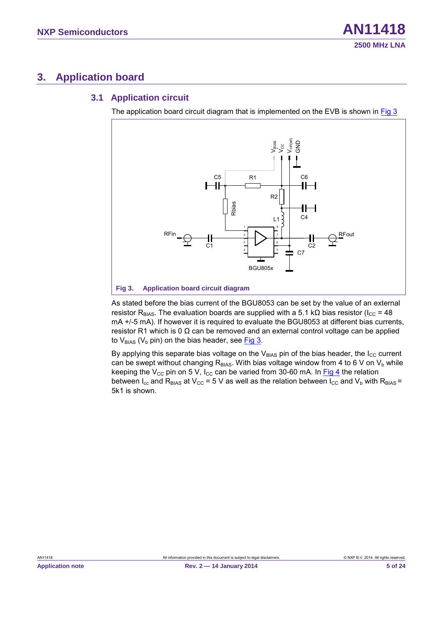## <span id="page-4-2"></span>**3. Application board**

#### <span id="page-4-3"></span>**3.1 Application circuit**

The application board circuit diagram that is implemented on the EVB is shown in [Fig 3](#page-4-0)



<span id="page-4-1"></span><span id="page-4-0"></span>As stated before the bias current of the BGU8053 can be set by the value of an external resistor R<sub>BIAS</sub>. The evaluation boards are supplied with a 5.1 kΩ bias resistor (I<sub>CC</sub> = 48 mA +/-5 mA). If however it is required to evaluate the BGU8053 at different bias currents, resistor R1 which is 0  $\Omega$  can be removed and an external control voltage can be applied to  $V_{BIAS}$  ( $V_b$  pin) on the bias header, see [Fig 3.](#page-4-0)

By applying this separate bias voltage on the  $V_{B|AS}$  pin of the bias header, the I<sub>CC</sub> current can be swept without changing  $R<sub>BIAS</sub>$ . With bias voltage window from 4 to 6 V on V<sub>b</sub> while keeping the V<sub>CC</sub> pin on 5 V, I<sub>CC</sub> can be varied from 30-60 mA. In [Fig 4](#page-5-0) the relation between  $I_{cc}$  and  $R_{BIAS}$  at  $V_{CC}$  = 5 V as well as the relation between  $I_{CC}$  and  $V_b$  with  $R_{BIAS}$  = 5k1 is shown.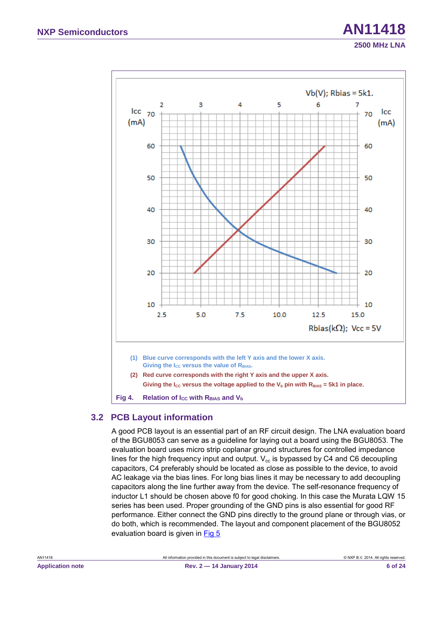

## <span id="page-5-2"></span><span id="page-5-1"></span><span id="page-5-0"></span>**3.2 PCB Layout information**

A good PCB layout is an essential part of an RF circuit design. The LNA evaluation board of the BGU8053 can serve as a guideline for laying out a board using the BGU8053. The evaluation board uses micro strip coplanar ground structures for controlled impedance lines for the high frequency input and output.  $V_{cc}$  is bypassed by C4 and C6 decoupling capacitors, C4 preferably should be located as close as possible to the device, to avoid AC leakage via the bias lines. For long bias lines it may be necessary to add decoupling capacitors along the line further away from the device. The self-resonance frequency of inductor L1 should be chosen above f0 for good choking. In this case the Murata LQW 15 series has been used. Proper grounding of the GND pins is also essential for good RF performance. Either connect the GND pins directly to the ground plane or through vias, or do both, which is recommended. The layout and component placement of the BGU8052 evaluation board is given in [Fig 5](#page-6-0)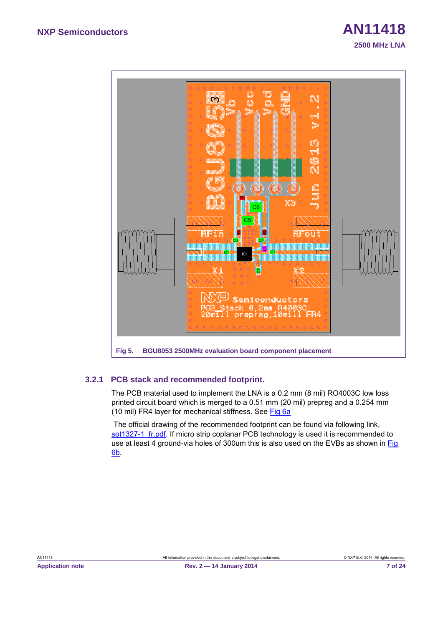

#### <span id="page-6-2"></span><span id="page-6-1"></span><span id="page-6-0"></span>**3.2.1 PCB stack and recommended footprint.**

The PCB material used to implement the LNA is a 0.2 mm (8 mil) RO4003C low loss printed circuit board which is merged to a 0.51 mm (20 mil) prepreg and a 0.254 mm (10 mil) FR4 layer for mechanical stiffness. See [Fig 6a](#page-7-0)

The official drawing of the recommended footprint can be found via following link, sot1327-1 fr.pdf. If micro strip coplanar PCB technology is used it is recommended to use at least 4 ground-via holes of 300um this is also used on the EVBs as shown in [Fig](#page-7-0)  [6b](#page-7-0).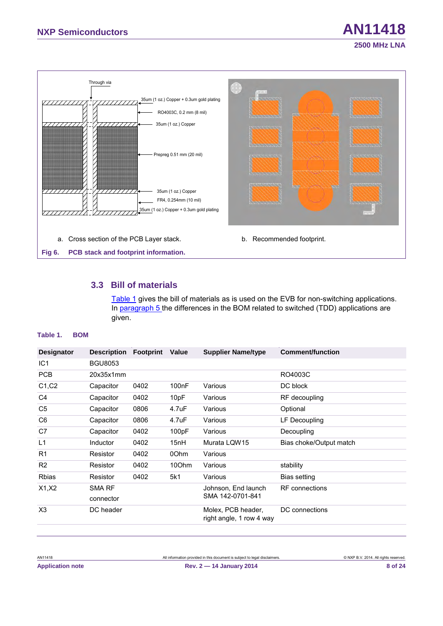

## <span id="page-7-4"></span><span id="page-7-3"></span><span id="page-7-2"></span><span id="page-7-0"></span>**3.3 Bill of materials**

[Table 1 g](#page-7-1)ives the bill of materials as is used on the EVB for non-switching applications. In paragraph [5](#page-15-0) the differences in the BOM related to switched (TDD) applications are given.

#### <span id="page-7-1"></span>**Table 1. BOM**

|                | <b>Description Footprint</b> | Value              | <b>Supplier Name/type</b>                      | <b>Comment/function</b> |
|----------------|------------------------------|--------------------|------------------------------------------------|-------------------------|
| <b>BGU8053</b> |                              |                    |                                                |                         |
| 20x35x1mm      |                              |                    |                                                | RO4003C                 |
| Capacitor      | 0402                         | 100 <sub>n</sub> F | Various                                        | DC block                |
| Capacitor      | 0402                         | 10pF               | Various                                        | RF decoupling           |
| Capacitor      | 0806                         | 4.7uF              | Various                                        | Optional                |
| Capacitor      | 0806                         | 4.7uF              | Various                                        | LF Decoupling           |
| Capacitor      | 0402                         | 100pF              | Various                                        | Decoupling              |
| Inductor       | 0402                         | 15nH               | Murata LQW15                                   | Bias choke/Output match |
| Resistor       | 0402                         | 00hm               | Various                                        |                         |
| Resistor       | 0402                         | 10Ohm              | Various                                        | stability               |
| Resistor       | 0402                         | 5k1                | Various                                        | Bias setting            |
| SMA RF         |                              |                    | Johnson. End launch                            | <b>RF</b> connections   |
| connector      |                              |                    |                                                |                         |
| DC header      |                              |                    | Molex, PCB header,<br>right angle, 1 row 4 way | DC connections          |
|                |                              |                    |                                                | SMA 142-0701-841        |

**2500 MHz LNA**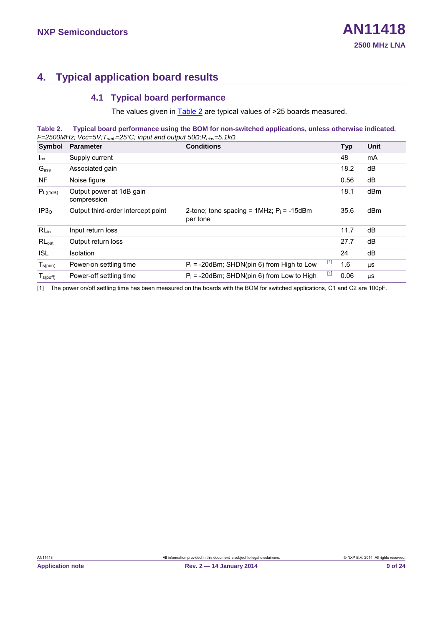## <span id="page-8-3"></span>**4. Typical application board results**

#### <span id="page-8-4"></span><span id="page-8-2"></span><span id="page-8-0"></span>**4.1 Typical board performance**

The values given in [Table 2](#page-8-0) are typical values of >25 boards measured.

**Table 2. Typical board performance using the BOM for non-switched applications, unless otherwise indicated.** *F=2500MHz; Vcc=5V;Tamb=25°C; input and output 50Ω;Rbias=5.1kΩ.* 

| Symbol           | <b>Parameter</b>                        | <b>Conditions</b>                                          |   | <b>Typ</b> | Unit |
|------------------|-----------------------------------------|------------------------------------------------------------|---|------------|------|
| $I_{\rm cc}$     | Supply current                          |                                                            |   | 48         | mA   |
| Gass             | Associated gain                         |                                                            |   | 18.2       | dB   |
| NF.              | Noise figure                            |                                                            |   | 0.56       | dB   |
| $P_{L((1dB)}$    | Output power at 1dB gain<br>compression |                                                            |   | 18.1       | dBm  |
| IP3 <sub>0</sub> | Output third-order intercept point      | 2-tone; tone spacing = $1MHz$ ; $P_i = -15dBm$<br>per tone |   | 35.6       | dBm  |
| $RL_{in}$        | Input return loss                       |                                                            |   | 11.7       | dB   |
| $RL_{out}$       | Output return loss                      |                                                            |   | 27.7       | dB   |
| <b>ISL</b>       | <b>Isolation</b>                        |                                                            |   | 24         | dB   |
| $T_{s(pon)}$     | Power-on settling time                  | Щ<br>$P_i$ = -20dBm; SHDN(pin 6) from High to Low          |   | 1.6        | μS   |
| $T_{s(poff)}$    | Power-off settling time                 | $P_i$ = -20dBm; SHDN(pin 6) from Low to High               | Щ | 0.06       | μS   |

<span id="page-8-1"></span>[1] The power on/off settling time has been measured on the boards with the BOM for switched applications, C1 and C2 are 100pF.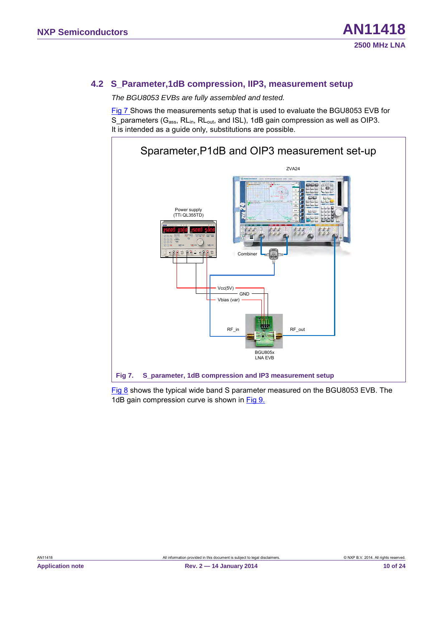## <span id="page-9-2"></span>**4.2 S\_Parameter,1dB compression, IIP3, measurement setup**

*The BGU8053 EVBs are fully assembled and tested.*

[Fig 7](#page-9-0) Shows the measurements setup that is used to evaluate the BGU8053 EVB for S parameters ( $G_{ass}$ , RL<sub>in</sub>, RL<sub>out</sub>, and ISL), 1dB gain compression as well as OIP3. It is intended as a guide only, substitutions are possible.



<span id="page-9-1"></span><span id="page-9-0"></span>[Fig 8](#page-10-0) shows the typical wide band S parameter measured on the BGU8053 EVB. The 1dB gain compression curve is shown in [Fig 9.](#page-10-1)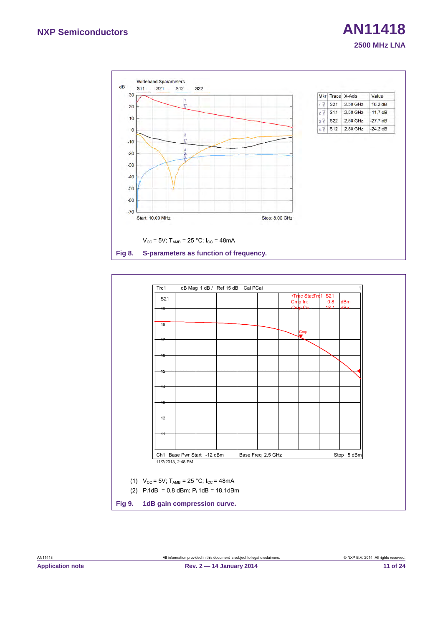

<span id="page-10-3"></span><span id="page-10-2"></span><span id="page-10-1"></span><span id="page-10-0"></span>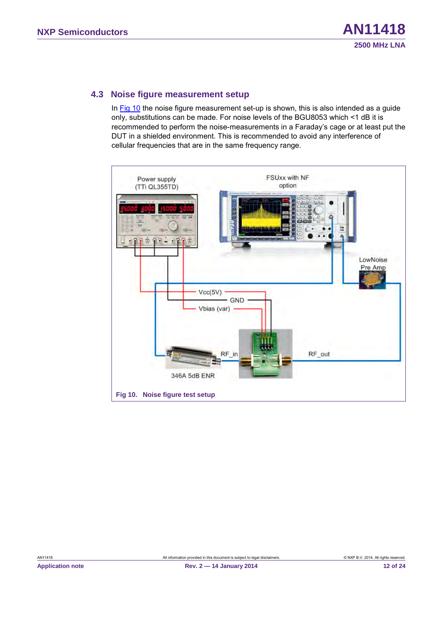#### <span id="page-11-2"></span>**4.3 Noise figure measurement setup**

In [Fig 10](#page-11-0) the noise figure measurement set-up is shown, this is also intended as a guide only, substitutions can be made. For noise levels of the BGU8053 which <1 dB it is recommended to perform the noise-measurements in a Faraday's cage or at least put the DUT in a shielded environment. This is recommended to avoid any interference of cellular frequencies that are in the same frequency range.

<span id="page-11-1"></span><span id="page-11-0"></span>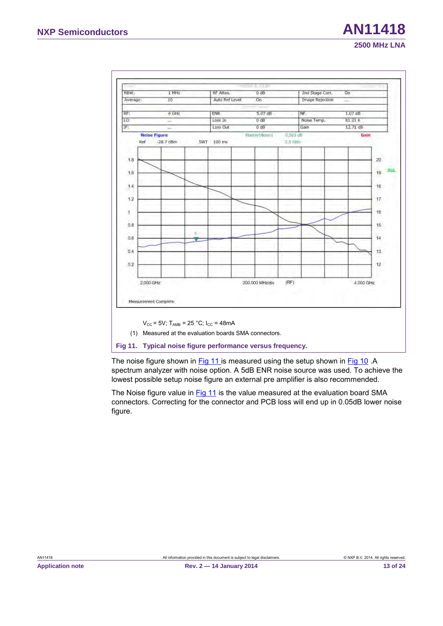| Average:     |                                    |     | RF Atten.      | 0 dB            |                      | 2nd Stage Corr.        | On        |                 |
|--------------|------------------------------------|-----|----------------|-----------------|----------------------|------------------------|-----------|-----------------|
|              | 10                                 |     | Auto Ref Level | On              |                      | <b>Image Rejection</b> | pips.     |                 |
| RF:          | 4 GHz                              |     | <b>ENR</b>     | 5.07 dB         |                      | NF.                    | $1.07$ dB |                 |
| LO:          | $\rightarrow$                      |     | Loss In        | $0$ dB          |                      | Noise Temp.            | 81.21 K   |                 |
| IF           | in a                               |     | Loss Out       | 0 dB            |                      | Gain                   | 12.71 dB  |                 |
| Ref          | <b>Noise Figure</b><br>$-28.7$ dBm | SWT | 100 ms         | Martier Nose)   | $0,563$ dB<br>3.5 日は |                        | Gain      |                 |
|              |                                    |     |                |                 |                      |                        |           |                 |
| 1.8          |                                    |     |                |                 |                      |                        |           | 20              |
|              |                                    |     |                |                 |                      |                        |           | 551<br>19       |
| 1.6          |                                    |     |                |                 |                      |                        |           |                 |
| 1.4          |                                    |     |                |                 |                      |                        |           | 18              |
|              |                                    |     |                |                 |                      |                        |           |                 |
| 1.2          |                                    |     |                |                 |                      |                        |           | 17              |
|              |                                    |     |                |                 |                      |                        |           | 16              |
| $\mathbf{1}$ |                                    |     |                |                 |                      |                        |           |                 |
| 0.8          |                                    |     |                |                 |                      |                        |           | 15 <sup>°</sup> |
|              |                                    | 1   |                |                 |                      |                        |           |                 |
| 0.6          |                                    |     |                |                 |                      |                        |           | 14              |
| 0.4          |                                    |     |                |                 |                      |                        |           | 13              |
|              |                                    |     |                |                 |                      |                        |           |                 |
| 0.2          |                                    |     |                |                 |                      |                        |           | 12              |
|              |                                    |     |                |                 |                      |                        |           |                 |
|              | 2,000 GHz                          |     |                | 200.000 MHz/div | (RF)                 |                        | 4.000 GHz |                 |
|              |                                    |     |                |                 |                      |                        |           |                 |
|              |                                    |     |                |                 |                      |                        |           |                 |
|              | Measurement Complete               |     |                |                 |                      |                        |           |                 |
|              |                                    |     |                |                 |                      |                        |           |                 |

<span id="page-12-1"></span><span id="page-12-0"></span>**Fig 11. Typical noise figure performance versus frequency.**

The noise figure shown in [Fig 11](#page-12-0) is measured using the setup shown in [Fig 10](#page-11-0) .A spectrum analyzer with noise option. A 5dB ENR noise source was used. To achieve the lowest possible setup noise figure an external pre amplifier is also recommended.

The Noise figure value in [Fig 11](#page-12-0) is the value measured at the evaluation board SMA connectors. Correcting for the connector and PCB loss will end up in 0.05dB lower noise figure.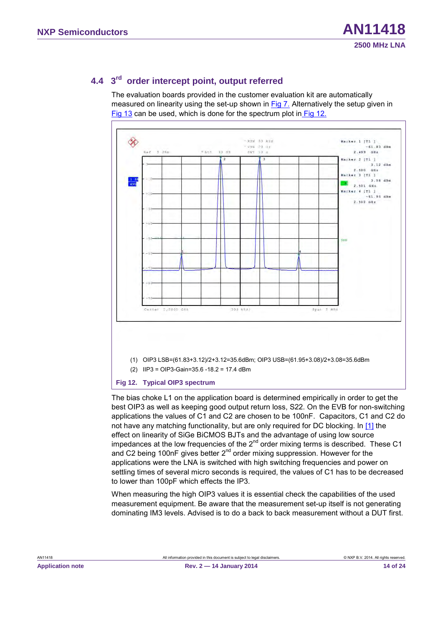## <span id="page-13-2"></span>**4.4 3rd order intercept point, output referred**

The evaluation boards provided in the customer evaluation kit are automatically measured on linearity using the set-up shown in [Fig 7.](#page-9-0) Alternatively the setup given in [Fig 13](#page-14-0) can be used, which is done for the spectrum plot in [Fig 12.](#page-13-0)



#### <span id="page-13-1"></span><span id="page-13-0"></span>**Fig 12. Typical OIP3 spectrum**

The bias choke L1 on the application board is determined empirically in order to get the best OIP3 as well as keeping good output return loss, S22. On the EVB for non-switching applications the values of C1 and C2 are chosen to be 100nF. Capacitors, C1 and C2 do not have any matching functionality, but are only required for DC blocking. In [\[1\]](#page-18-0) the effect on linearity of SiGe BiCMOS BJTs and the advantage of using low source impedances at the low frequencies of the  $2^{nd}$  order mixing terms is described. These C1 and C2 being 100nF gives better 2<sup>nd</sup> order mixing suppression. However for the applications were the LNA is switched with high switching frequencies and power on settling times of several micro seconds is required, the values of C1 has to be decreased to lower than 100pF which effects the IP3.

When measuring the high OIP3 values it is essential check the capabilities of the used measurement equipment. Be aware that the measurement set-up itself is not generating dominating IM3 levels. Advised is to do a back to back measurement without a DUT first.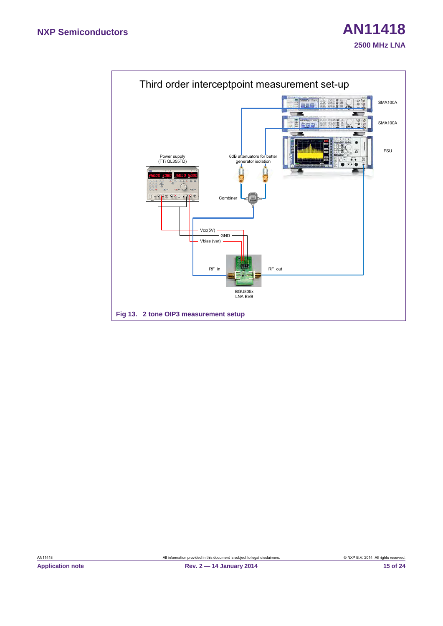<span id="page-14-1"></span><span id="page-14-0"></span>

AN11418 All information provided in this document is subject to legal disclaimers. © NXP B.V. 2014. All rights reserved.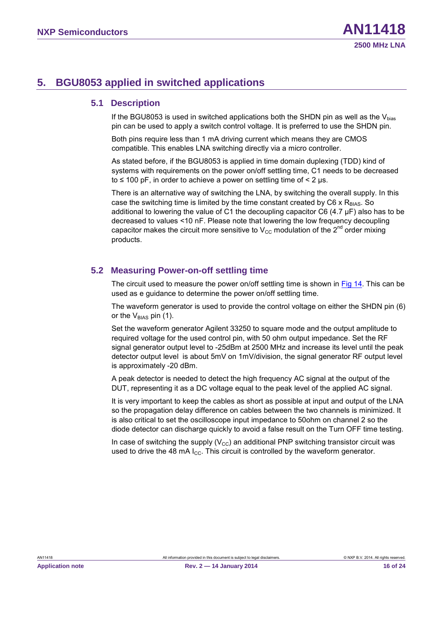## <span id="page-15-1"></span><span id="page-15-0"></span>**5. BGU8053 applied in switched applications**

#### <span id="page-15-2"></span>**5.1 Description**

If the BGU8053 is used in switched applications both the SHDN pin as well as the  $V_{bias}$ pin can be used to apply a switch control voltage. It is preferred to use the SHDN pin.

Both pins require less than 1 mA driving current which means they are CMOS compatible. This enables LNA switching directly via a micro controller.

As stated before, if the BGU8053 is applied in time domain duplexing (TDD) kind of systems with requirements on the power on/off settling time, C1 needs to be decreased to  $\leq$  100 pF, in order to achieve a power on settling time of  $\leq$  2 µs.

<span id="page-15-3"></span>There is an alternative way of switching the LNA, by switching the overall supply. In this case the switching time is limited by the time constant created by  $C6 \times R_{BIAS}$ . So additional to lowering the value of C1 the decoupling capacitor C6 (4.7 µF) also has to be decreased to values <10 nF. Please note that lowering the low frequency decoupling capacitor makes the circuit more sensitive to  $V_{\text{CC}}$  modulation of the 2<sup>nd</sup> order mixing products.

#### **5.2 Measuring Power-on-off settling time**

The circuit used to measure the power on/off settling time is shown in [Fig 14.](#page-16-0) This can be used as e guidance to determine the power on/off settling time.

The waveform generator is used to provide the control voltage on either the SHDN pin (6) or the  $V_{BIAS}$  pin (1).

Set the waveform generator Agilent 33250 to square mode and the output amplitude to required voltage for the used control pin, with 50 ohm output impedance. Set the RF signal generator output level to -25dBm at 2500 MHz and increase its level until the peak detector output level is about 5mV on 1mV/division, the signal generator RF output level is approximately -20 dBm.

A peak detector is needed to detect the high frequency AC signal at the output of the DUT, representing it as a DC voltage equal to the peak level of the applied AC signal.

It is very important to keep the cables as short as possible at input and output of the LNA so the propagation delay difference on cables between the two channels is minimized. It is also critical to set the oscilloscope input impedance to 50ohm on channel 2 so the diode detector can discharge quickly to avoid a false result on the Turn OFF time testing.

In case of switching the supply ( $V_{\text{cc}}$ ) an additional PNP switching transistor circuit was used to drive the 48 mA  $I_{CC}$ . This circuit is controlled by the waveform generator.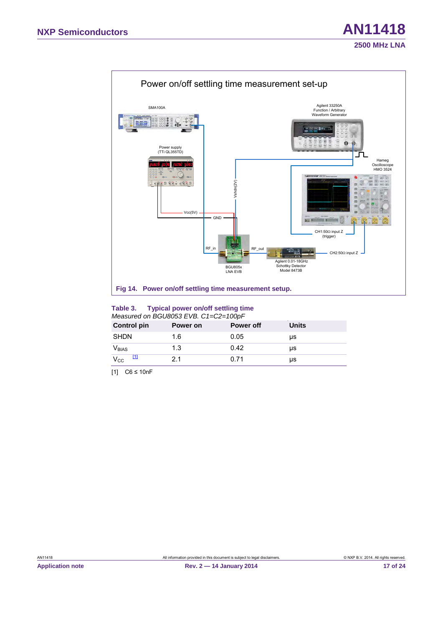

#### <span id="page-16-3"></span><span id="page-16-2"></span><span id="page-16-0"></span>**Table 3. Typical power on/off settling time**  *Measured on BGU8053 EVB. C1=C2=100pF*

| <b>Control pin</b>       | Power on | <b>Power off</b> | Units |  |  |  |  |
|--------------------------|----------|------------------|-------|--|--|--|--|
| SHDN                     | 1.6      | 0.05             | μs    |  |  |  |  |
| <b>V</b> <sub>BIAS</sub> | 1.3      | 0.42             | μs    |  |  |  |  |
| $V_{\rm CC}$             | 21       | 0.71             | μs    |  |  |  |  |

<span id="page-16-1"></span>[1] C6 ≤ 10nF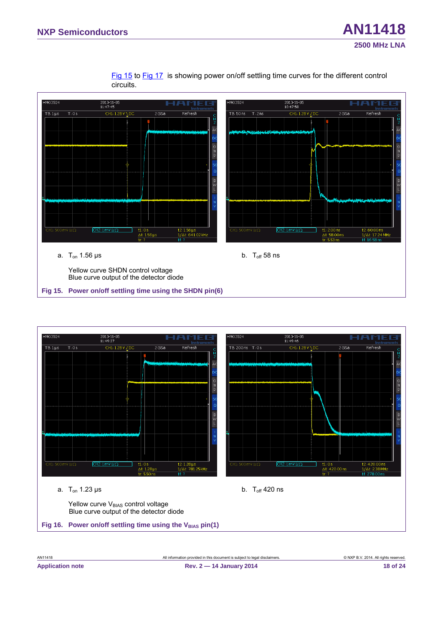[Fig 15](#page-17-0) to [Fig 17](#page-18-1) is showing power on/off settling time curves for the different control circuits.



<span id="page-17-1"></span><span id="page-17-0"></span>

<span id="page-17-2"></span>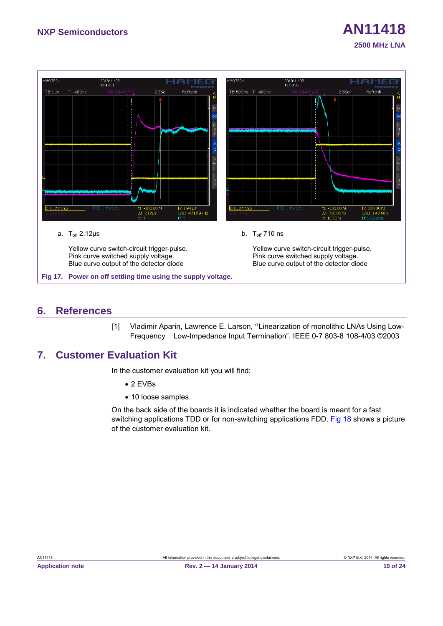

## <span id="page-18-4"></span><span id="page-18-3"></span><span id="page-18-2"></span><span id="page-18-1"></span>**6. References**

<span id="page-18-0"></span>[1] Vladimir Aparin, Lawrence E. Larson, "Linearization of monolithic LNAs Using Low-Frequency Low-Impedance Input Termination". IEEE 0-7 803-8 108-4/03 ©2003

## **7. Customer Evaluation Kit**

In the customer evaluation kit you will find;

- 2 EVBs
- 10 loose samples.

On the back side of the boards it is indicated whether the board is meant for a fast switching applications TDD or for non-switching applications FDD. [Fig 18](#page-19-0) shows a picture of the customer evaluation kit.

**2500 MHz LNA**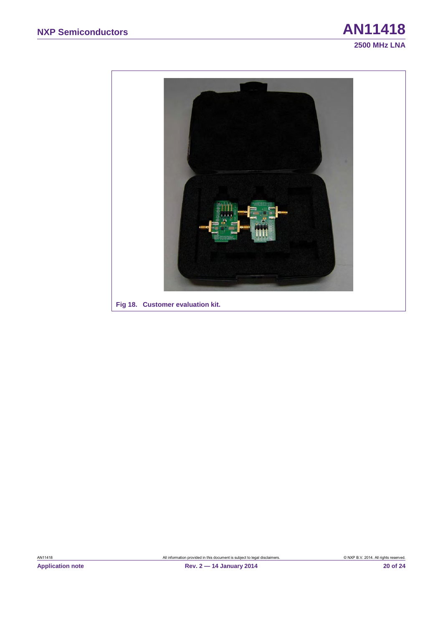

<span id="page-19-1"></span><span id="page-19-0"></span>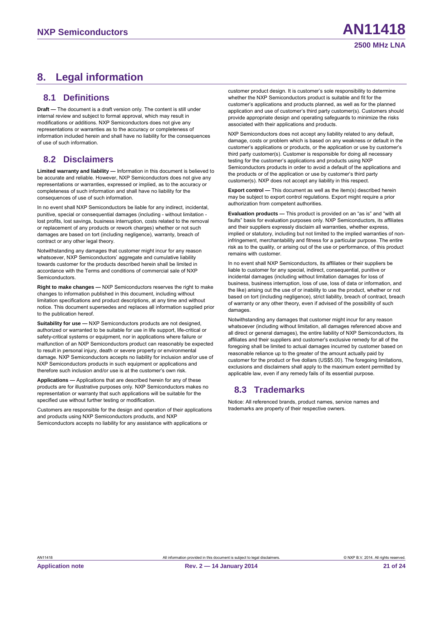## <span id="page-20-1"></span><span id="page-20-0"></span>**8. Legal information**

#### **8.1 Definitions**

<span id="page-20-2"></span>**Draft —** The document is a draft version only. The content is still under internal review and subject to formal approval, which may result in modifications or additions. NXP Semiconductors does not give any representations or warranties as to the accuracy or completeness of information included herein and shall have no liability for the consequences of use of such information.

#### **8.2 Disclaimers**

**Limited warranty and liability —** Information in this document is believed to be accurate and reliable. However, NXP Semiconductors does not give any representations or warranties, expressed or implied, as to the accuracy or completeness of such information and shall have no liability for the consequences of use of such information.

In no event shall NXP Semiconductors be liable for any indirect, incidental, punitive, special or consequential damages (including - without limitation lost profits, lost savings, business interruption, costs related to the removal or replacement of any products or rework charges) whether or not such damages are based on tort (including negligence), warranty, breach of contract or any other legal theory.

Notwithstanding any damages that customer might incur for any reason whatsoever, NXP Semiconductors' aggregate and cumulative liability towards customer for the products described herein shall be limited in accordance with the Terms and conditions of commercial sale of NXP **Semiconductors** 

**Right to make changes —** NXP Semiconductors reserves the right to make changes to information published in this document, including without limitation specifications and product descriptions, at any time and without notice. This document supersedes and replaces all information supplied prior to the publication hereof.

**Suitability for use —** NXP Semiconductors products are not designed, authorized or warranted to be suitable for use in life support, life-critical or safety-critical systems or equipment, nor in applications where failure or malfunction of an NXP Semiconductors product can reasonably be expected to result in personal injury, death or severe property or environmental damage. NXP Semiconductors accepts no liability for inclusion and/or use of NXP Semiconductors products in such equipment or applications and therefore such inclusion and/or use is at the customer's own risk.

**Applications —** Applications that are described herein for any of these products are for illustrative purposes only. NXP Semiconductors makes no representation or warranty that such applications will be suitable for the specified use without further testing or modification.

Customers are responsible for the design and operation of their applications and products using NXP Semiconductors products, and NXP Semiconductors accepts no liability for any assistance with applications or

customer product design. It is customer's sole responsibility to determine whether the NXP Semiconductors product is suitable and fit for the customer's applications and products planned, as well as for the planned application and use of customer's third party customer(s). Customers should provide appropriate design and operating safeguards to minimize the risks associated with their applications and products.

NXP Semiconductors does not accept any liability related to any default, damage, costs or problem which is based on any weakness or default in the customer's applications or products, or the application or use by customer's third party customer(s). Customer is responsible for doing all necessary testing for the customer's applications and products using NXP Semiconductors products in order to avoid a default of the applications and the products or of the application or use by customer's third party customer(s). NXP does not accept any liability in this respect.

**Export control —** This document as well as the item(s) described herein may be subject to export control regulations. Export might require a prior authorization from competent authorities.

**Evaluation products —** This product is provided on an "as is" and "with all faults" basis for evaluation purposes only. NXP Semiconductors, its affiliates and their suppliers expressly disclaim all warranties, whether express, implied or statutory, including but not limited to the implied warranties of noninfringement, merchantability and fitness for a particular purpose. The entire risk as to the quality, or arising out of the use or performance, of this product remains with customer.

In no event shall NXP Semiconductors, its affiliates or their suppliers be liable to customer for any special, indirect, consequential, punitive or incidental damages (including without limitation damages for loss of business, business interruption, loss of use, loss of data or information, and the like) arising out the use of or inability to use the product, whether or not based on tort (including negligence), strict liability, breach of contract, breach of warranty or any other theory, even if advised of the possibility of such damages.

<span id="page-20-3"></span>Notwithstanding any damages that customer might incur for any reason whatsoever (including without limitation, all damages referenced above and all direct or general damages), the entire liability of NXP Semiconductors, its affiliates and their suppliers and customer's exclusive remedy for all of the foregoing shall be limited to actual damages incurred by customer based on reasonable reliance up to the greater of the amount actually paid by customer for the product or five dollars (US\$5.00). The foregoing limitations, exclusions and disclaimers shall apply to the maximum extent permitted by applicable law, even if any remedy fails of its essential purpose.

## **8.3 Trademarks**

Notice: All referenced brands, product names, service names and trademarks are property of their respective owners.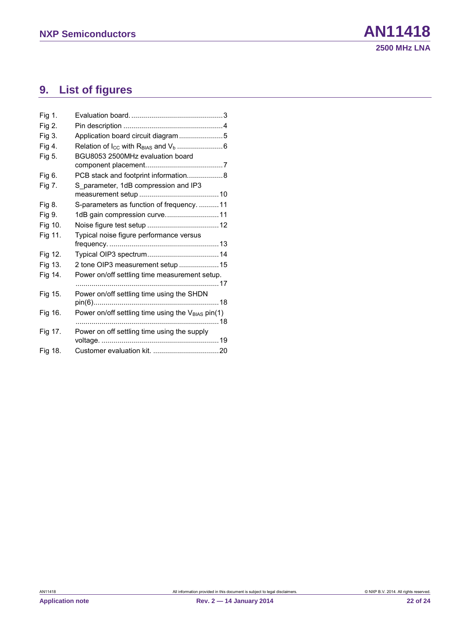## <span id="page-21-0"></span>**9. List of figures**

| Fig 1.  |                                                               |  |
|---------|---------------------------------------------------------------|--|
| Fig 2.  |                                                               |  |
| Fig 3.  | Application board circuit diagram5                            |  |
| Fig 4.  |                                                               |  |
| Fig 5.  | BGU8053 2500MHz evaluation board                              |  |
|         |                                                               |  |
| Fig 6.  | PCB stack and footprint information8                          |  |
| Fig 7.  | S parameter, 1dB compression and IP3                          |  |
|         |                                                               |  |
| Fig 8.  | S-parameters as function of frequency.  11                    |  |
| Fig 9.  | 1dB gain compression curve11                                  |  |
| Fig 10. |                                                               |  |
| Fig 11. | Typical noise figure performance versus                       |  |
|         |                                                               |  |
| Fig 12. |                                                               |  |
| Fig 13. | 2 tone OIP3 measurement setup  15                             |  |
| Fig 14. | Power on/off settling time measurement setup.                 |  |
|         |                                                               |  |
| Fig 15. | Power on/off settling time using the SHDN                     |  |
|         |                                                               |  |
| Fig 16. | Power on/off settling time using the V <sub>BIAS</sub> pin(1) |  |
|         |                                                               |  |
| Fig 17. | Power on off settling time using the supply                   |  |
|         |                                                               |  |
| Fig 18. |                                                               |  |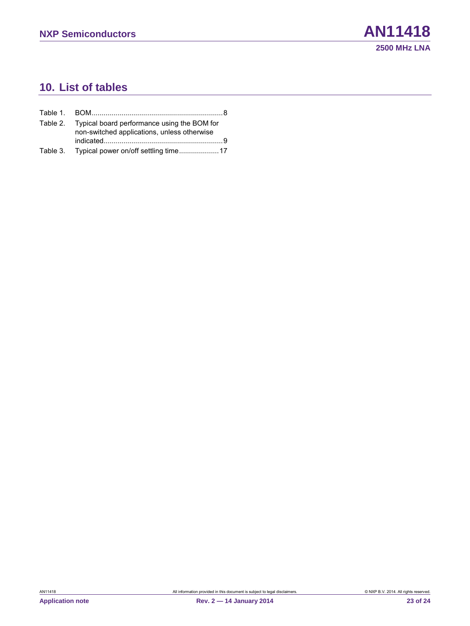## <span id="page-22-0"></span>**10. List of tables**

| Table 2. Typical board performance using the BOM for<br>non-switched applications, unless otherwise |
|-----------------------------------------------------------------------------------------------------|
|                                                                                                     |
|                                                                                                     |